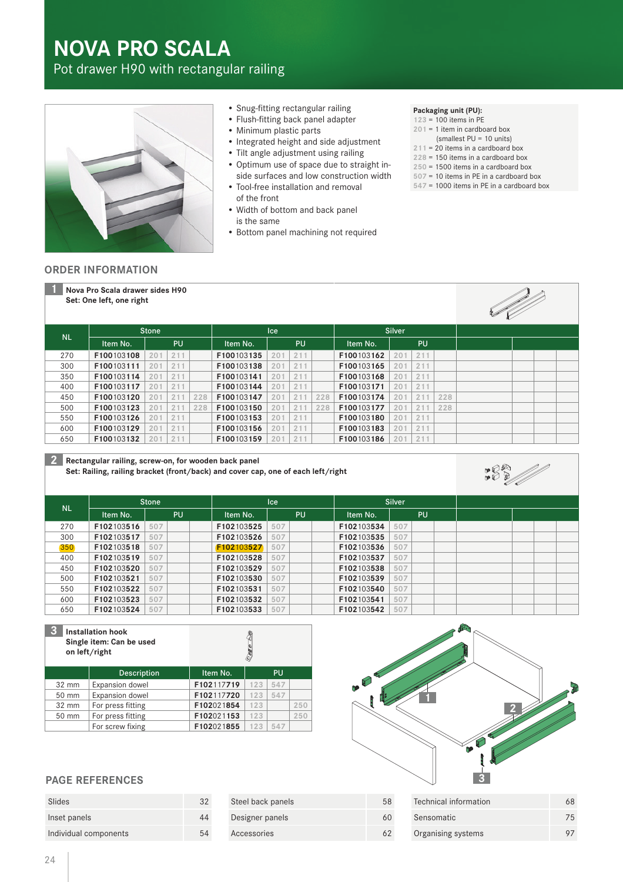# **NOVA PRO SCALA**

Pot drawer H90 with rectangular railing



- Snug-fitting rectangular railing
- Flush-fitting back panel adapter
- Minimum plastic parts
- Integrated height and side adjustment
- Tilt angle adjustment using railing
- Optimum use of space due to straight inside surfaces and low construction width
- Tool-free installation and removal of the front
- Width of bottom and back panel is the same
- Bottom panel machining not required

#### **Packaging unit (PU):**

- **123** = 100 items in PE
- **201** = 1 item in cardboard box
- (smallest PU = 10 units)
- **211** = 20 items in a cardboard box **228** = 150 items in a cardboard box
- **250** = 1500 items in a cardboard box
- **507** = 10 items in PE in a cardboard box
- **547** = 1000 items in PE in a cardboard box

#### **ORDER INFORMATION**

**1 Nova Pro Scala drawer sides H90 Set: One left, one right**



182//

|           | <b>Stone</b> |           |     |     | Ice        |                 |     | <b>Silver</b> |            |     |     |     |  |  |
|-----------|--------------|-----------|-----|-----|------------|-----------------|-----|---------------|------------|-----|-----|-----|--|--|
| <b>NL</b> | Item No.     | <b>PU</b> |     |     | Item No.   | PU              |     | Item No.      | <b>PU</b>  |     |     |     |  |  |
| 270       | F100103108   | 201       | 211 |     | F100103135 | 20              | 211 |               | F100103162 | 201 | 211 |     |  |  |
| 300       | F100103111   | 201       | 211 |     | F100103138 | 20 <sup>1</sup> | 211 |               | F100103165 | 201 | 211 |     |  |  |
| 350       | F100103114   | 201       | 211 |     | F100103141 | 201             | 211 |               | F100103168 | 201 | 211 |     |  |  |
| 400       | F100103117   | 201       | 211 |     | F100103144 | 20 <sup>1</sup> | 211 |               | F100103171 | 201 | 211 |     |  |  |
| 450       | F100103120   | 201       | 211 | 228 | F100103147 | $20^{\circ}$    | 211 | 228           | F100103174 | 201 | 211 | 228 |  |  |
| 500       | F100103123   | 201       | 211 | 228 | F100103150 | $20^{\circ}$    | 211 | 228           | F100103177 | 201 | 211 | 228 |  |  |
| 550       | F100103126   | 201       | 211 |     | F100103153 | 201             | 211 |               | F100103180 | 201 | 211 |     |  |  |
| 600       | F100103129   | 201       | 211 |     | F100103156 | 201             | 211 |               | F100103183 | 201 | 211 |     |  |  |
| 650       | F100103132   | 201       | 211 |     | F100103159 | 20 <sup>1</sup> | 211 |               | F100103186 | 201 | 211 |     |  |  |

#### **2 Rectangular railing, screw-on, for wooden back panel**

**Set: Railing, railing bracket (front/back) and cover cap, one of each left/right**

| <b>NL</b> | <b>Stone</b> | <b>Ice</b> |  |            | <b>Silver</b> |           |  |            |     |     |  |  |  |
|-----------|--------------|------------|--|------------|---------------|-----------|--|------------|-----|-----|--|--|--|
|           | Item No.     | <b>PU</b>  |  | Item No.   |               | <b>PU</b> |  | Item No.   |     | PU. |  |  |  |
| 270       | F102103516   | 507        |  | F102103525 | 507           |           |  | F102103534 | 507 |     |  |  |  |
| 300       | F102103517   | 507        |  | F102103526 | 507           |           |  | F102103535 | 507 |     |  |  |  |
| 350       | F102103518   | 507        |  | F102103527 | 507           |           |  | F102103536 | 507 |     |  |  |  |
| 400       | F102103519   | 507        |  | F102103528 | 507           |           |  | F102103537 | 507 |     |  |  |  |
| 450       | F102103520   | 507        |  | F102103529 | 507           |           |  | F102103538 | 507 |     |  |  |  |
| 500       | F102103521   | 507        |  | F102103530 | 507           |           |  | F102103539 | 507 |     |  |  |  |
| 550       | F102103522   | 507        |  | F102103531 | 507           |           |  | F102103540 | 507 |     |  |  |  |
| 600       | F102103523   | 507        |  | F102103532 | 507           |           |  | F102103541 | 507 |     |  |  |  |
| 650       | F102103524   | 507        |  | F102103533 | 507           |           |  | F102103542 | 507 |     |  |  |  |

| 3     | <b>Installation hook</b><br>Single item: Can be used<br>on left/right |            |     |           |     |  |  |  |
|-------|-----------------------------------------------------------------------|------------|-----|-----------|-----|--|--|--|
|       | <b>Description</b>                                                    | Item No.   |     | <b>PU</b> |     |  |  |  |
| 32 mm | Expansion dowel                                                       | F102117719 | 123 | 547       |     |  |  |  |
| 50 mm | Expansion dowel                                                       | F102117720 | 123 | 547       |     |  |  |  |
| 32 mm | For press fitting                                                     | F102021854 | 123 |           | 250 |  |  |  |
| 50 mm | For press fitting                                                     | F102021153 | 123 |           | 250 |  |  |  |
|       | For screw fixing                                                      | F102021855 | 123 | 547       |     |  |  |  |



## **PAGE REFERENCES**

| Slides                | 32 |
|-----------------------|----|
| Inset panels          | 44 |
| Individual components | 54 |

| Steel back panels | 58 | Technical information | 68  |
|-------------------|----|-----------------------|-----|
| Designer panels   | 60 | Sensomatic            | 75. |
| Accessories       | 62 | Organising systems    |     |
|                   |    |                       |     |